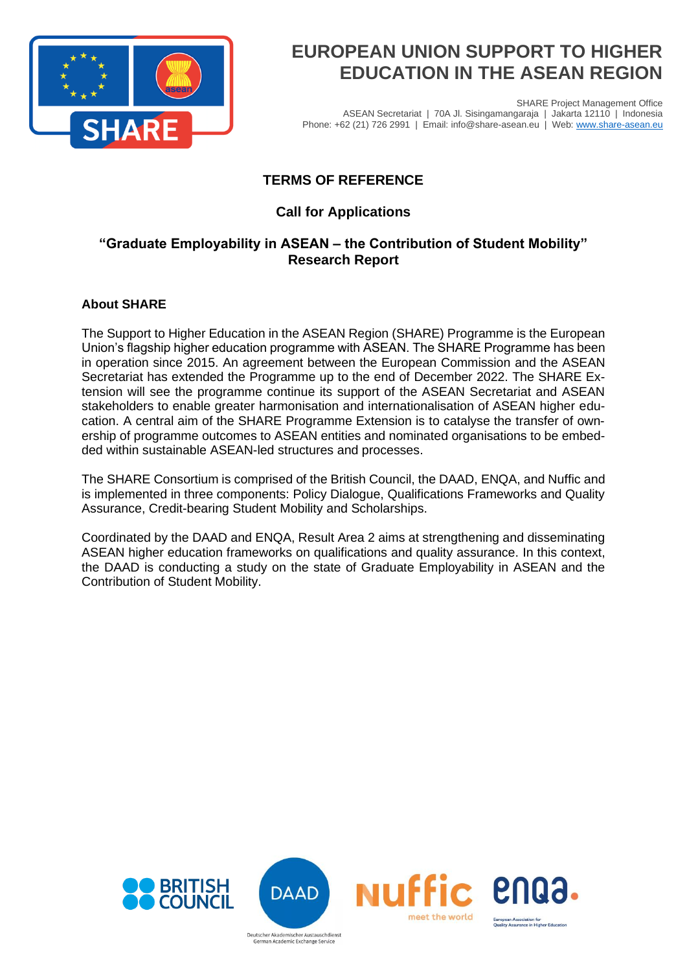

SHARE Project Management Office ASEAN Secretariat | 70A Jl. Sisingamangaraja | Jakarta 12110 | Indonesia Phone: +62 (21) 726 2991 | Email: info@share-asean.eu | Web[: www.share-asean.eu](http://www.share-asean.eu/)

## **TERMS OF REFERENCE**

### **Call for Applications**

### **"Graduate Employability in ASEAN – the Contribution of Student Mobility" Research Report**

### **About SHARE**

The Support to Higher Education in the ASEAN Region (SHARE) Programme is the European Union's flagship higher education programme with ASEAN. The SHARE Programme has been in operation since 2015. An agreement between the European Commission and the ASEAN Secretariat has extended the Programme up to the end of December 2022. The SHARE Extension will see the programme continue its support of the ASEAN Secretariat and ASEAN stakeholders to enable greater harmonisation and internationalisation of ASEAN higher education. A central aim of the SHARE Programme Extension is to catalyse the transfer of ownership of programme outcomes to ASEAN entities and nominated organisations to be embedded within sustainable ASEAN-led structures and processes.

The SHARE Consortium is comprised of the British Council, the DAAD, ENQA, and Nuffic and is implemented in three components: Policy Dialogue, Qualifications Frameworks and Quality Assurance, Credit-bearing Student Mobility and Scholarships.

Coordinated by the DAAD and ENQA, Result Area 2 aims at strengthening and disseminating ASEAN higher education frameworks on qualifications and quality assurance. In this context, the DAAD is conducting a study on the state of Graduate Employability in ASEAN and the Contribution of Student Mobility.

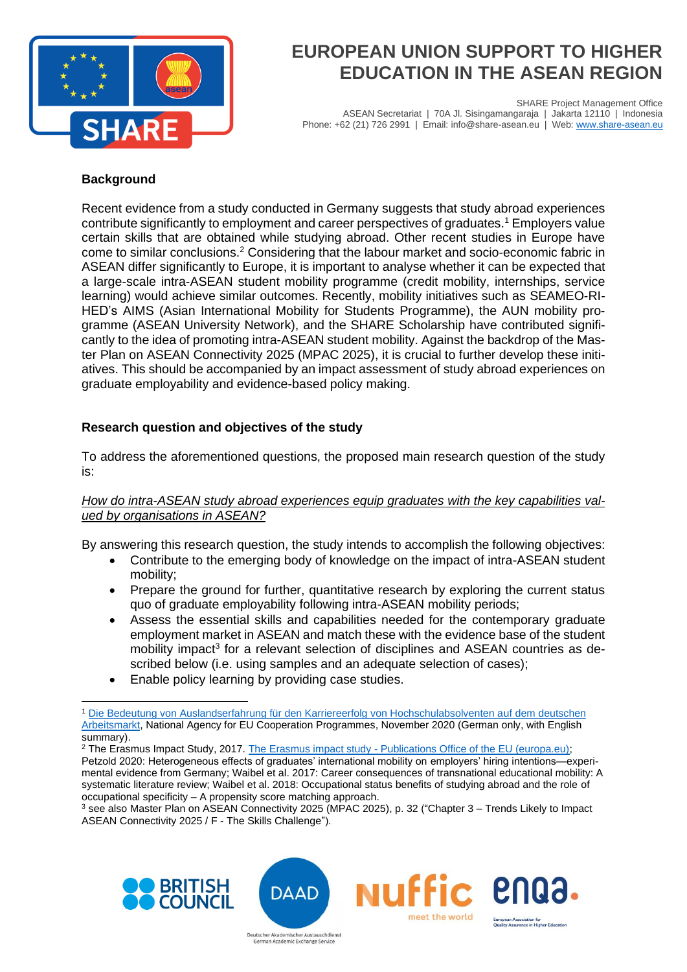

SHARE Project Management Office ASEAN Secretariat | 70A Jl. Sisingamangaraja | Jakarta 12110 | Indonesia Phone: +62 (21) 726 2991 | Email: info@share-asean.eu | Web[: www.share-asean.eu](http://www.share-asean.eu/)

#### **Background**

Recent evidence from a study conducted in Germany suggests that study abroad experiences contribute significantly to employment and career perspectives of graduates.<sup>1</sup> Employers value certain skills that are obtained while studying abroad. Other recent studies in Europe have come to similar conclusions.<sup>2</sup> Considering that the labour market and socio-economic fabric in ASEAN differ significantly to Europe, it is important to analyse whether it can be expected that a large-scale intra-ASEAN student mobility programme (credit mobility, internships, service learning) would achieve similar outcomes. Recently, mobility initiatives such as SEAMEO-RI-HED's AIMS (Asian International Mobility for Students Programme), the AUN mobility programme (ASEAN University Network), and the SHARE Scholarship have contributed significantly to the idea of promoting intra-ASEAN student mobility. Against the backdrop of the Master Plan on ASEAN Connectivity 2025 (MPAC 2025), it is crucial to further develop these initiatives. This should be accompanied by an impact assessment of study abroad experiences on graduate employability and evidence-based policy making.

### **Research question and objectives of the study**

To address the aforementioned questions, the proposed main research question of the study is:

#### How do intra-ASEAN study abroad experiences equip graduates with the key capabilities val*ued by organisations in ASEAN?*

By answering this research question, the study intends to accomplish the following objectives:

- Contribute to the emerging body of knowledge on the impact of intra-ASEAN student mobility;
- Prepare the ground for further, quantitative research by exploring the current status quo of graduate employability following intra-ASEAN mobility periods;
- Assess the essential skills and capabilities needed for the contemporary graduate employment market in ASEAN and match these with the evidence base of the student mobility impact<sup>3</sup> for a relevant selection of disciplines and ASEAN countries as described below (i.e. using samples and an adequate selection of cases);
- Enable policy learning by providing case studies.

<sup>2</sup> The Erasmus Impact Study, 2017. The Erasmus impact study - [Publications Office of the EU \(europa.eu\);](https://op.europa.eu/de/publication-detail/-/publication/13031399-9fd4-11e5-8781-01aa75ed71a1) Petzold 2020: Heterogeneous effects of graduates' international mobility on employers' hiring intentions—experimental evidence from Germany; Waibel et al. 2017: Career consequences of transnational educational mobility: A systematic literature review; Waibel et al. 2018: Occupational status benefits of studying abroad and the role of occupational specificity – A propensity score matching approach.

<sup>3</sup> see also Master Plan on ASEAN Connectivity 2025 (MPAC 2025), p. 32 ("Chapter 3 – Trends Likely to Impact ASEAN Connectivity 2025 / F - The Skills Challenge").





German Academic Exchange Service



<sup>1</sup> [Die Bedeutung von Auslandserfahrung für den Karriereerfolg von Hochschulabsolventen auf dem deutschen](https://eu.daad.de/medien/eu.daad.de.2016/dokumente/service/medien-und-publikationen/studien-und-auswertungen/na_daad_iw-wirkungsstudie_2019_langfassung.pdf)  [Arbeitsmarkt,](https://eu.daad.de/medien/eu.daad.de.2016/dokumente/service/medien-und-publikationen/studien-und-auswertungen/na_daad_iw-wirkungsstudie_2019_langfassung.pdf) National Agency for EU Cooperation Programmes, November 2020 (German only, with English summary).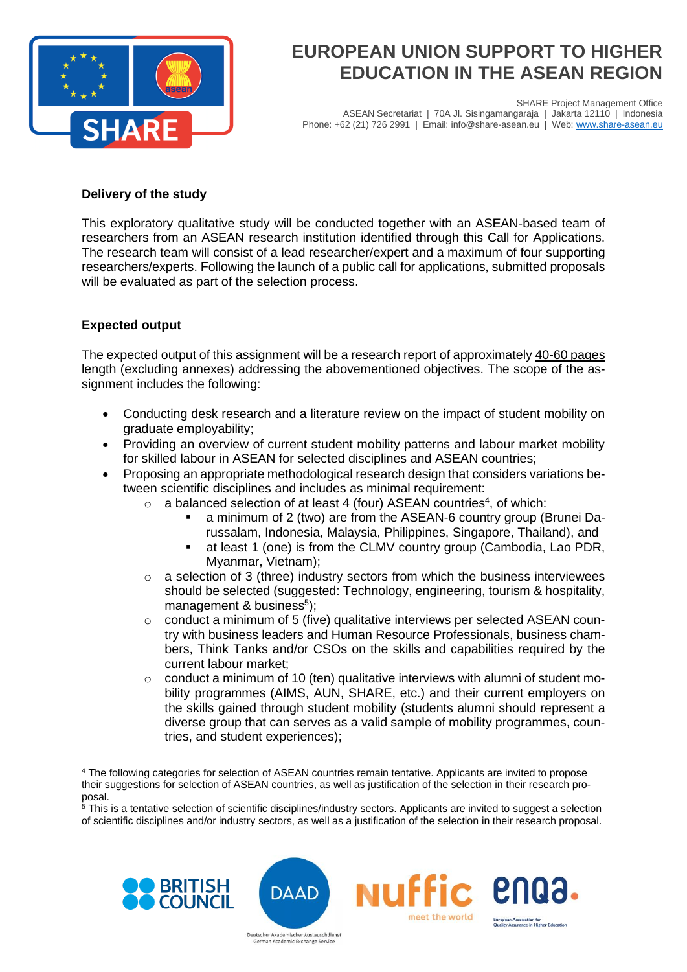

SHARE Project Management Office ASEAN Secretariat | 70A Jl. Sisingamangaraja | Jakarta 12110 | Indonesia Phone: +62 (21) 726 2991 | Email: info@share-asean.eu | Web[: www.share-asean.eu](http://www.share-asean.eu/)

#### **Delivery of the study**

This exploratory qualitative study will be conducted together with an ASEAN-based team of researchers from an ASEAN research institution identified through this Call for Applications. The research team will consist of a lead researcher/expert and a maximum of four supporting researchers/experts. Following the launch of a public call for applications, submitted proposals will be evaluated as part of the selection process.

### **Expected output**

The expected output of this assignment will be a research report of approximately 40-60 pages length (excluding annexes) addressing the abovementioned objectives. The scope of the assignment includes the following:

- Conducting desk research and a literature review on the impact of student mobility on graduate employability;
- Providing an overview of current student mobility patterns and labour market mobility for skilled labour in ASEAN for selected disciplines and ASEAN countries;
- Proposing an appropriate methodological research design that considers variations between scientific disciplines and includes as minimal requirement:
	- $\circ$  a balanced selection of at least 4 (four) ASEAN countries<sup>4</sup>, of which:
		- a minimum of 2 (two) are from the ASEAN-6 country group (Brunei Darussalam, Indonesia, Malaysia, Philippines, Singapore, Thailand), and
		- at least 1 (one) is from the CLMV country group (Cambodia, Lao PDR, Myanmar, Vietnam);
	- $\circ$  a selection of 3 (three) industry sectors from which the business interviewees should be selected (suggested: Technology, engineering, tourism & hospitality, management & business<sup>5</sup>);
	- o conduct a minimum of 5 (five) qualitative interviews per selected ASEAN country with business leaders and Human Resource Professionals, business chambers, Think Tanks and/or CSOs on the skills and capabilities required by the current labour market;
	- $\circ$  conduct a minimum of 10 (ten) qualitative interviews with alumni of student mobility programmes (AIMS, AUN, SHARE, etc.) and their current employers on the skills gained through student mobility (students alumni should represent a diverse group that can serves as a valid sample of mobility programmes, countries, and student experiences);

<sup>&</sup>lt;sup>5</sup>This is a tentative selection of scientific disciplines/industry sectors. Applicants are invited to suggest a selection of scientific disciplines and/or industry sectors, as well as a justification of the selection in their research proposal.



Deutscher Akademischer Austauschdienst German Academic Exchange Service

<sup>4</sup> The following categories for selection of ASEAN countries remain tentative. Applicants are invited to propose their suggestions for selection of ASEAN countries, as well as justification of the selection in their research proposal.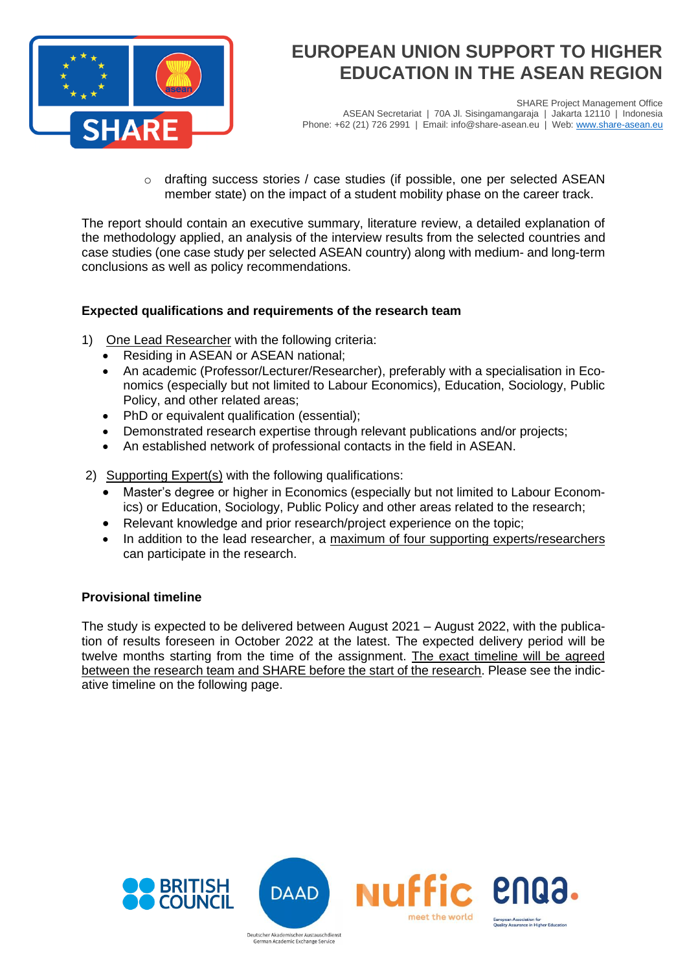

SHARE Project Management Office ASEAN Secretariat | 70A Jl. Sisingamangaraja | Jakarta 12110 | Indonesia Phone: +62 (21) 726 2991 | Email: info@share-asean.eu | Web[: www.share-asean.eu](http://www.share-asean.eu/)

 $\circ$  drafting success stories / case studies (if possible, one per selected ASEAN member state) on the impact of a student mobility phase on the career track.

The report should contain an executive summary, literature review, a detailed explanation of the methodology applied, an analysis of the interview results from the selected countries and case studies (one case study per selected ASEAN country) along with medium- and long-term conclusions as well as policy recommendations.

### **Expected qualifications and requirements of the research team**

- 1) One Lead Researcher with the following criteria:
	- Residing in ASEAN or ASEAN national;
	- An academic (Professor/Lecturer/Researcher), preferably with a specialisation in Economics (especially but not limited to Labour Economics), Education, Sociology, Public Policy, and other related areas;
	- PhD or equivalent qualification (essential);
	- Demonstrated research expertise through relevant publications and/or projects;
	- An established network of professional contacts in the field in ASEAN.
- 2) Supporting Expert(s) with the following qualifications:
	- Master's degree or higher in Economics (especially but not limited to Labour Economics) or Education, Sociology, Public Policy and other areas related to the research;
	- Relevant knowledge and prior research/project experience on the topic;
	- In addition to the lead researcher, a maximum of four supporting experts/researchers can participate in the research.

#### **Provisional timeline**

The study is expected to be delivered between August 2021 – August 2022, with the publication of results foreseen in October 2022 at the latest. The expected delivery period will be twelve months starting from the time of the assignment. The exact timeline will be agreed between the research team and SHARE before the start of the research. Please see the indicative timeline on the following page.

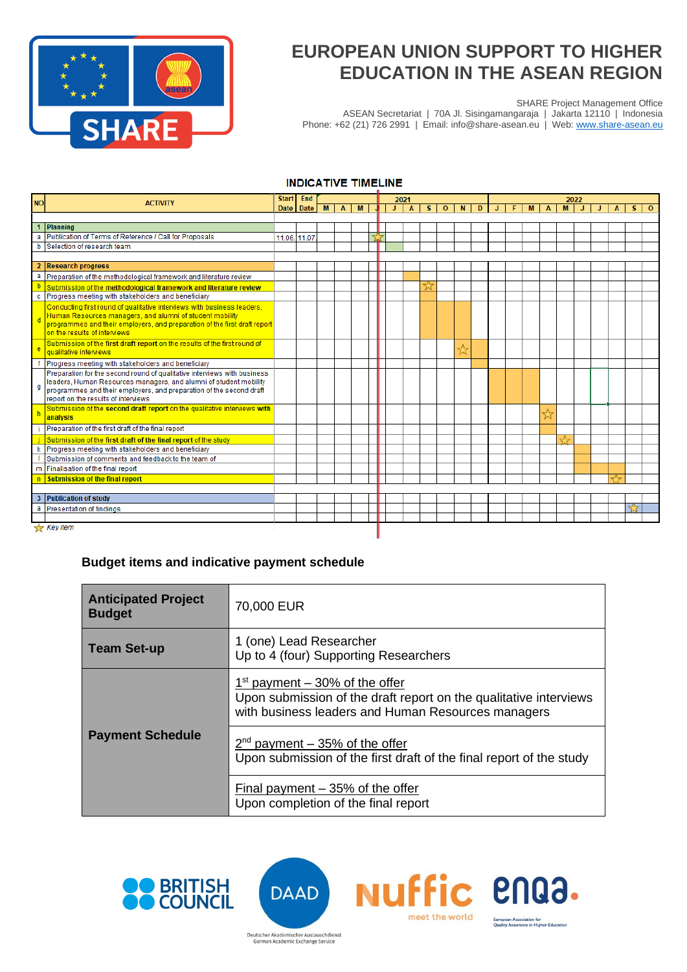

SHARE Project Management Office

ASEAN Secretariat | 70A Jl. Sisingamangaraja | Jakarta 12110 | Indonesia Phone: +62 (21) 726 2991 | Email: info@share-asean.eu | Web[: www.share-asean.eu](http://www.share-asean.eu/)

#### **INDICATIVE TIMELINE**

| <b>NO</b> | <b>ACTIVITY</b>                                                                                           | <b>Start</b><br>End |           |   | 2021         |   |  |                   |   |              | 2022 |   |   |  |   |              |   |    |  |  |   |  |
|-----------|-----------------------------------------------------------------------------------------------------------|---------------------|-----------|---|--------------|---|--|-------------------|---|--------------|------|---|---|--|---|--------------|---|----|--|--|---|--|
|           |                                                                                                           |                     | Date Date | M | $\mathbf{A}$ | M |  | J<br>$\mathbf{A}$ | s | $\mathbf{O}$ | N    | D | J |  | M | $\mathbf{A}$ | M | J. |  |  | s |  |
|           |                                                                                                           |                     |           |   |              |   |  |                   |   |              |      |   |   |  |   |              |   |    |  |  |   |  |
|           | Planning                                                                                                  |                     |           |   |              |   |  |                   |   |              |      |   |   |  |   |              |   |    |  |  |   |  |
| a         | Publication of Terms of Reference / Call for Proposals                                                    | 11.06. 11.07        |           |   |              |   |  |                   |   |              |      |   |   |  |   |              |   |    |  |  |   |  |
| b         | Selection of research team                                                                                |                     |           |   |              |   |  |                   |   |              |      |   |   |  |   |              |   |    |  |  |   |  |
|           |                                                                                                           |                     |           |   |              |   |  |                   |   |              |      |   |   |  |   |              |   |    |  |  |   |  |
|           | <b>Research progress</b>                                                                                  |                     |           |   |              |   |  |                   |   |              |      |   |   |  |   |              |   |    |  |  |   |  |
| a         | Preparation of the methodological framework and literature review                                         |                     |           |   |              |   |  |                   |   |              |      |   |   |  |   |              |   |    |  |  |   |  |
|           | Submission of the methodological framework and literature review                                          |                     |           |   |              |   |  |                   |   |              |      |   |   |  |   |              |   |    |  |  |   |  |
| c         | Progress meeting with stakeholders and beneficiary                                                        |                     |           |   |              |   |  |                   |   |              |      |   |   |  |   |              |   |    |  |  |   |  |
|           | Conducting first round of qualitative interviews with business leaders,                                   |                     |           |   |              |   |  |                   |   |              |      |   |   |  |   |              |   |    |  |  |   |  |
|           | Human Resources managers, and alumni of student mobility                                                  |                     |           |   |              |   |  |                   |   |              |      |   |   |  |   |              |   |    |  |  |   |  |
|           | programmes and their employers, and preparation of the first draft report<br>on the results of interviews |                     |           |   |              |   |  |                   |   |              |      |   |   |  |   |              |   |    |  |  |   |  |
|           |                                                                                                           |                     |           |   |              |   |  |                   |   |              |      |   |   |  |   |              |   |    |  |  |   |  |
| e         | Submission of the first draft report on the results of the first round of<br>qualitative interviews       |                     |           |   |              |   |  |                   |   |              |      |   |   |  |   |              |   |    |  |  |   |  |
|           | Progress meeting with stakeholders and beneficiary                                                        |                     |           |   |              |   |  |                   |   |              |      |   |   |  |   |              |   |    |  |  |   |  |
|           | Preparation for the second round of qualitative interviews with business                                  |                     |           |   |              |   |  |                   |   |              |      |   |   |  |   |              |   |    |  |  |   |  |
|           | leaders, Human Resources managers, and alumni of student mobility                                         |                     |           |   |              |   |  |                   |   |              |      |   |   |  |   |              |   |    |  |  |   |  |
| q         | programmes and their employers, and preparation of the second draft                                       |                     |           |   |              |   |  |                   |   |              |      |   |   |  |   |              |   |    |  |  |   |  |
|           | report on the results of interviews                                                                       |                     |           |   |              |   |  |                   |   |              |      |   |   |  |   |              |   |    |  |  |   |  |
|           | Submission of the second draft report on the qualitative interviews with                                  |                     |           |   |              |   |  |                   |   |              |      |   |   |  |   | ☆            |   |    |  |  |   |  |
|           | analysis                                                                                                  |                     |           |   |              |   |  |                   |   |              |      |   |   |  |   |              |   |    |  |  |   |  |
|           | Preparation of the first draft of the final report                                                        |                     |           |   |              |   |  |                   |   |              |      |   |   |  |   |              |   |    |  |  |   |  |
|           | Submission of the first draft of the final report of the study                                            |                     |           |   |              |   |  |                   |   |              |      |   |   |  |   |              | ┸ |    |  |  |   |  |
|           | Progress meeting with stakeholders and beneficiary                                                        |                     |           |   |              |   |  |                   |   |              |      |   |   |  |   |              |   |    |  |  |   |  |
|           | Submission of comments and feedback to the team of                                                        |                     |           |   |              |   |  |                   |   |              |      |   |   |  |   |              |   |    |  |  |   |  |
|           | m Finalisation of the final report                                                                        |                     |           |   |              |   |  |                   |   |              |      |   |   |  |   |              |   |    |  |  |   |  |
| n.        | Submission of the final report                                                                            |                     |           |   |              |   |  |                   |   |              |      |   |   |  |   |              |   |    |  |  |   |  |
|           |                                                                                                           |                     |           |   |              |   |  |                   |   |              |      |   |   |  |   |              |   |    |  |  |   |  |
| 3         | <b>Publication of study</b>                                                                               |                     |           |   |              |   |  |                   |   |              |      |   |   |  |   |              |   |    |  |  |   |  |
| a         | Presentation of findings                                                                                  |                     |           |   |              |   |  |                   |   |              |      |   |   |  |   |              |   |    |  |  |   |  |
|           |                                                                                                           |                     |           |   |              |   |  |                   |   |              |      |   |   |  |   |              |   |    |  |  |   |  |
|           | $\frac{1}{2}$ Key item                                                                                    |                     |           |   |              |   |  |                   |   |              |      |   |   |  |   |              |   |    |  |  |   |  |

#### **Budget items and indicative payment schedule**

| <b>Anticipated Project</b><br><b>Budget</b> | 70,000 EUR                                                                                                                                                    |  |  |  |  |
|---------------------------------------------|---------------------------------------------------------------------------------------------------------------------------------------------------------------|--|--|--|--|
| <b>Team Set-up</b>                          | 1 (one) Lead Researcher<br>Up to 4 (four) Supporting Researchers                                                                                              |  |  |  |  |
|                                             | $1st$ payment $-30\%$ of the offer<br>Upon submission of the draft report on the qualitative interviews<br>with business leaders and Human Resources managers |  |  |  |  |
| <b>Payment Schedule</b>                     | $2nd$ payment – 35% of the offer<br>Upon submission of the first draft of the final report of the study                                                       |  |  |  |  |
|                                             | Final payment $-35%$ of the offer<br>Upon completion of the final report                                                                                      |  |  |  |  |

**NUFFIC PNQ3.** 

European Association for<br>Quality Assurance in Higher Education

meet the world



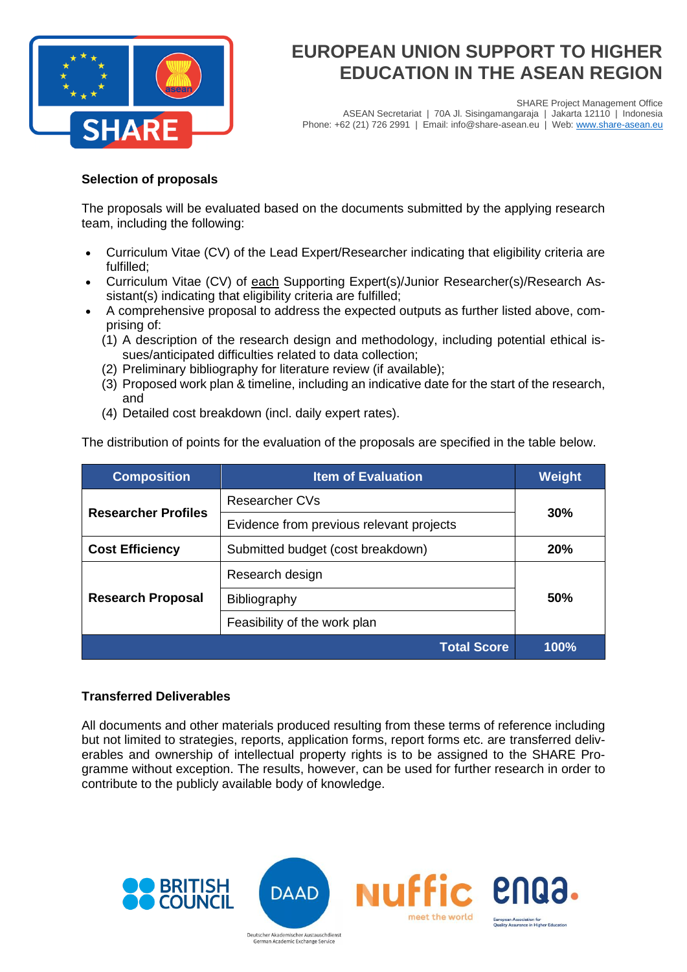

SHARE Project Management Office ASEAN Secretariat | 70A Jl. Sisingamangaraja | Jakarta 12110 | Indonesia Phone: +62 (21) 726 2991 | Email: info@share-asean.eu | Web[: www.share-asean.eu](http://www.share-asean.eu/)

### **Selection of proposals**

The proposals will be evaluated based on the documents submitted by the applying research team, including the following:

- Curriculum Vitae (CV) of the Lead Expert/Researcher indicating that eligibility criteria are fulfilled;
- Curriculum Vitae (CV) of each Supporting Expert(s)/Junior Researcher(s)/Research Assistant(s) indicating that eligibility criteria are fulfilled;
- A comprehensive proposal to address the expected outputs as further listed above, comprising of:
	- (1) A description of the research design and methodology, including potential ethical issues/anticipated difficulties related to data collection;
	- (2) Preliminary bibliography for literature review (if available);
	- (3) Proposed work plan & timeline, including an indicative date for the start of the research, and
	- (4) Detailed cost breakdown (incl. daily expert rates).

The distribution of points for the evaluation of the proposals are specified in the table below.

| <b>Composition</b>         | <b>Item of Evaluation</b>                |      |  |  |
|----------------------------|------------------------------------------|------|--|--|
| <b>Researcher Profiles</b> | <b>Researcher CVs</b>                    | 30%  |  |  |
|                            | Evidence from previous relevant projects |      |  |  |
| <b>Cost Efficiency</b>     | Submitted budget (cost breakdown)        |      |  |  |
|                            | Research design                          |      |  |  |
| <b>Research Proposal</b>   | Bibliography                             | 50%  |  |  |
|                            | Feasibility of the work plan             |      |  |  |
|                            | <b>Total Score</b>                       | 100% |  |  |

#### **Transferred Deliverables**

All documents and other materials produced resulting from these terms of reference including but not limited to strategies, reports, application forms, report forms etc. are transferred deliverables and ownership of intellectual property rights is to be assigned to the SHARE Programme without exception. The results, however, can be used for further research in order to contribute to the publicly available body of knowledge.

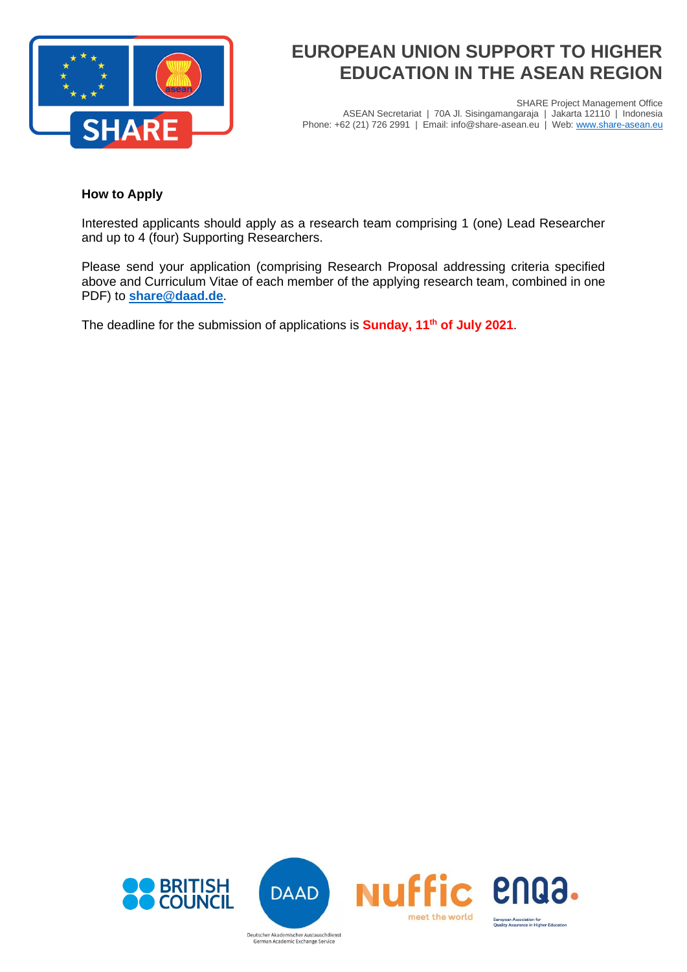

SHARE Project Management Office ASEAN Secretariat | 70A Jl. Sisingamangaraja | Jakarta 12110 | Indonesia Phone: +62 (21) 726 2991 | Email: info@share-asean.eu | Web[: www.share-asean.eu](http://www.share-asean.eu/)

#### **How to Apply**

Interested applicants should apply as a research team comprising 1 (one) Lead Researcher and up to 4 (four) Supporting Researchers.

Please send your application (comprising Research Proposal addressing criteria specified above and Curriculum Vitae of each member of the applying research team, combined in one PDF) to **[share@daad.de](mailto:share@daad.de)**.

The deadline for the submission of applications is **Sunday, 11th of July 2021**.